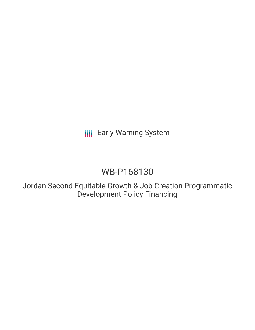**III** Early Warning System

# WB-P168130

Jordan Second Equitable Growth & Job Creation Programmatic Development Policy Financing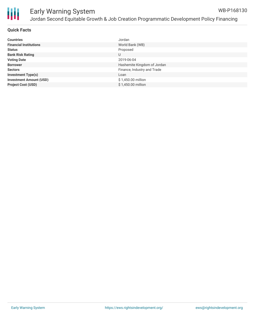

#### Early Warning System Jordan Second Equitable Growth & Job Creation Programmatic Development Policy Financing WB-P168130

#### **Quick Facts**

| <b>Countries</b>               | Jordan                      |
|--------------------------------|-----------------------------|
| <b>Financial Institutions</b>  | World Bank (WB)             |
| <b>Status</b>                  | Proposed                    |
| <b>Bank Risk Rating</b>        | U                           |
| <b>Voting Date</b>             | 2019-06-04                  |
| <b>Borrower</b>                | Hashemite Kingdom of Jordan |
| <b>Sectors</b>                 | Finance, Industry and Trade |
| <b>Investment Type(s)</b>      | Loan                        |
| <b>Investment Amount (USD)</b> | \$1,450.00 million          |
| <b>Project Cost (USD)</b>      | \$1,450.00 million          |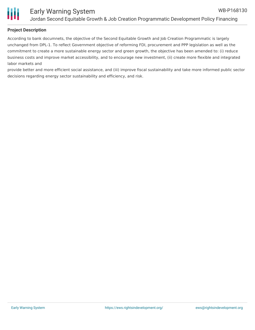

### **Project Description**

According to bank documnets, the objective of the Second Equitable Growth and Job Creation Programmatic is largely unchanged from DPL-1. To reflect Government objective of reforming FDI, procurement and PPP legislation as well as the commitment to create a more sustainable energy sector and green growth, the objective has been amended to: (i) reduce business costs and improve market accessibility, and to encourage new investment, (ii) create more flexible and integrated labor markets and

provide better and more efficient social assistance, and (iii) improve fiscal sustainability and take more informed public sector decisions regarding energy sector sustainability and efficiency, and risk.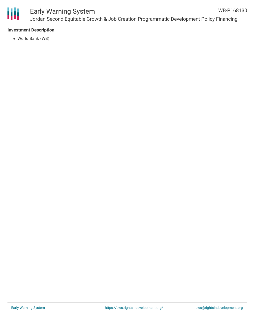

## Early Warning System

Jordan Second Equitable Growth & Job Creation Programmatic Development Policy Financing WB-P168130

#### **Investment Description**

World Bank (WB)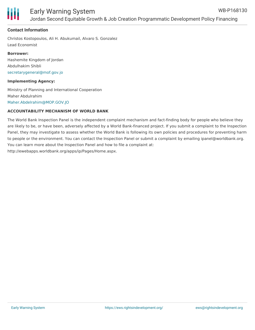

#### **Contact Information**

Christos Kostopoulos, Ali H. Abukumail, Alvaro S. Gonzalez Lead Economist

**Borrower:** Hashemite Kingdom of Jordan Abdulhakim Shibli [secretarygeneral@mof.gov.jo](mailto:secretarygeneral@mof.gov.jo)

#### **Implementing Agency:**

Ministry of Planning and International Cooperation Maher Abdulrahim [Maher.Abdelrahim@MOP.GOV.JO](mailto:Maher.Abdelrahim@MOP.GOV.JO)

#### **ACCOUNTABILITY MECHANISM OF WORLD BANK**

The World Bank Inspection Panel is the independent complaint mechanism and fact-finding body for people who believe they are likely to be, or have been, adversely affected by a World Bank-financed project. If you submit a complaint to the Inspection Panel, they may investigate to assess whether the World Bank is following its own policies and procedures for preventing harm to people or the environment. You can contact the Inspection Panel or submit a complaint by emailing ipanel@worldbank.org. You can learn more about the Inspection Panel and how to file a complaint at: http://ewebapps.worldbank.org/apps/ip/Pages/Home.aspx.